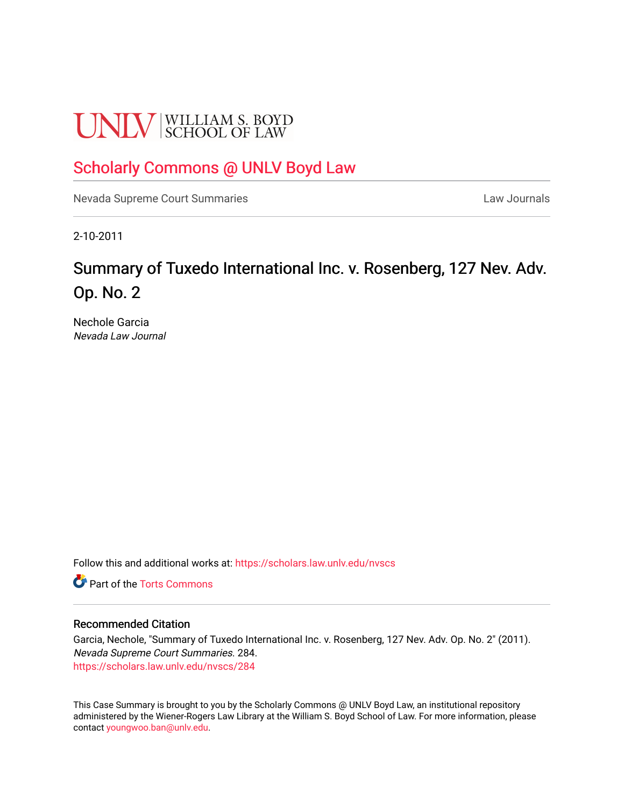# **UNLV** SCHOOL OF LAW

# [Scholarly Commons @ UNLV Boyd Law](https://scholars.law.unlv.edu/)

[Nevada Supreme Court Summaries](https://scholars.law.unlv.edu/nvscs) **Law Journals** Law Journals

2-10-2011

# Summary of Tuxedo International Inc. v. Rosenberg, 127 Nev. Adv. Op. No. 2

Nechole Garcia Nevada Law Journal

Follow this and additional works at: [https://scholars.law.unlv.edu/nvscs](https://scholars.law.unlv.edu/nvscs?utm_source=scholars.law.unlv.edu%2Fnvscs%2F284&utm_medium=PDF&utm_campaign=PDFCoverPages)

**C** Part of the [Torts Commons](http://network.bepress.com/hgg/discipline/913?utm_source=scholars.law.unlv.edu%2Fnvscs%2F284&utm_medium=PDF&utm_campaign=PDFCoverPages)

#### Recommended Citation

Garcia, Nechole, "Summary of Tuxedo International Inc. v. Rosenberg, 127 Nev. Adv. Op. No. 2" (2011). Nevada Supreme Court Summaries. 284. [https://scholars.law.unlv.edu/nvscs/284](https://scholars.law.unlv.edu/nvscs/284?utm_source=scholars.law.unlv.edu%2Fnvscs%2F284&utm_medium=PDF&utm_campaign=PDFCoverPages)

This Case Summary is brought to you by the Scholarly Commons @ UNLV Boyd Law, an institutional repository administered by the Wiener-Rogers Law Library at the William S. Boyd School of Law. For more information, please contact [youngwoo.ban@unlv.edu](mailto:youngwoo.ban@unlv.edu).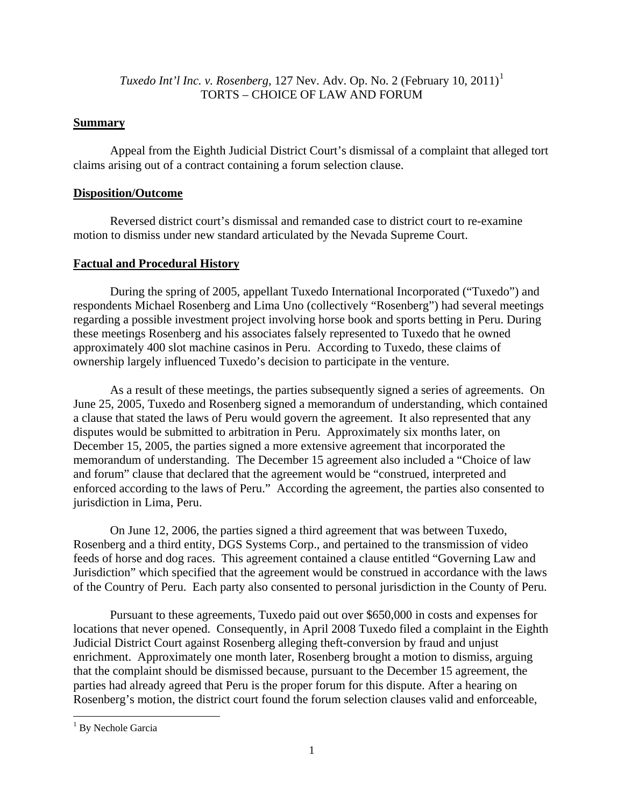## *Tuxedo Int'l Inc. v. Rosenberg*, [1](#page-1-0)27 Nev. Adv. Op. No. 2 (February 10, 2011)<sup>1</sup> TORTS – CHOICE OF LAW AND FORUM

# **Summary**

 Appeal from the Eighth Judicial District Court's dismissal of a complaint that alleged tort claims arising out of a contract containing a forum selection clause.

## **Disposition/Outcome**

 Reversed district court's dismissal and remanded case to district court to re-examine motion to dismiss under new standard articulated by the Nevada Supreme Court.

## **Factual and Procedural History**

 During the spring of 2005, appellant Tuxedo International Incorporated ("Tuxedo") and respondents Michael Rosenberg and Lima Uno (collectively "Rosenberg") had several meetings regarding a possible investment project involving horse book and sports betting in Peru. During these meetings Rosenberg and his associates falsely represented to Tuxedo that he owned approximately 400 slot machine casinos in Peru. According to Tuxedo, these claims of ownership largely influenced Tuxedo's decision to participate in the venture.

 As a result of these meetings, the parties subsequently signed a series of agreements. On June 25, 2005, Tuxedo and Rosenberg signed a memorandum of understanding, which contained a clause that stated the laws of Peru would govern the agreement. It also represented that any disputes would be submitted to arbitration in Peru. Approximately six months later, on December 15, 2005, the parties signed a more extensive agreement that incorporated the memorandum of understanding. The December 15 agreement also included a "Choice of law and forum" clause that declared that the agreement would be "construed, interpreted and enforced according to the laws of Peru." According the agreement, the parties also consented to jurisdiction in Lima, Peru.

On June 12, 2006, the parties signed a third agreement that was between Tuxedo, Rosenberg and a third entity, DGS Systems Corp., and pertained to the transmission of video feeds of horse and dog races. This agreement contained a clause entitled "Governing Law and Jurisdiction" which specified that the agreement would be construed in accordance with the laws of the Country of Peru. Each party also consented to personal jurisdiction in the County of Peru.

 Pursuant to these agreements, Tuxedo paid out over \$650,000 in costs and expenses for locations that never opened. Consequently, in April 2008 Tuxedo filed a complaint in the Eighth Judicial District Court against Rosenberg alleging theft-conversion by fraud and unjust enrichment. Approximately one month later, Rosenberg brought a motion to dismiss, arguing that the complaint should be dismissed because, pursuant to the December 15 agreement, the parties had already agreed that Peru is the proper forum for this dispute. After a hearing on Rosenberg's motion, the district court found the forum selection clauses valid and enforceable,

<span id="page-1-0"></span><sup>&</sup>lt;sup>1</sup> By Nechole Garcia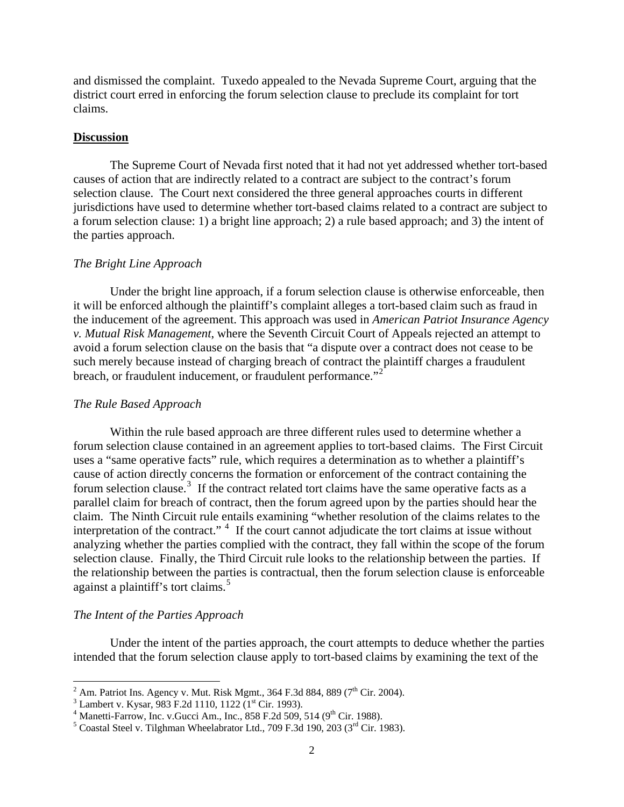and dismissed the complaint. Tuxedo appealed to the Nevada Supreme Court, arguing that the district court erred in enforcing the forum selection clause to preclude its complaint for tort claims.

#### **Discussion**

 The Supreme Court of Nevada first noted that it had not yet addressed whether tort-based causes of action that are indirectly related to a contract are subject to the contract's forum selection clause. The Court next considered the three general approaches courts in different jurisdictions have used to determine whether tort-based claims related to a contract are subject to a forum selection clause: 1) a bright line approach; 2) a rule based approach; and 3) the intent of the parties approach.

#### *The Bright Line Approach*

 Under the bright line approach, if a forum selection clause is otherwise enforceable, then it will be enforced although the plaintiff's complaint alleges a tort-based claim such as fraud in the inducement of the agreement. This approach was used in *American Patriot Insurance Agency v. Mutual Risk Management*, where the Seventh Circuit Court of Appeals rejected an attempt to avoid a forum selection clause on the basis that "a dispute over a contract does not cease to be such merely because instead of charging breach of contract the plaintiff charges a fraudulent breach, or fraudulent inducement, or fraudulent performance."<sup>[2](#page-2-0)</sup>

#### *The Rule Based Approach*

 Within the rule based approach are three different rules used to determine whether a forum selection clause contained in an agreement applies to tort-based claims. The First Circuit uses a "same operative facts" rule, which requires a determination as to whether a plaintiff's cause of action directly concerns the formation or enforcement of the contract containing the forum selection clause.<sup>[3](#page-2-1)</sup> If the contract related tort claims have the same operative facts as a parallel claim for breach of contract, then the forum agreed upon by the parties should hear the claim. The Ninth Circuit rule entails examining "whether resolution of the claims relates to the interpretation of the contract."  $4\,$  $4\,$  If the court cannot adjudicate the tort claims at issue without analyzing whether the parties complied with the contract, they fall within the scope of the forum selection clause. Finally, the Third Circuit rule looks to the relationship between the parties. If the relationship between the parties is contractual, then the forum selection clause is enforceable against a plaintiff's tort claims.<sup>[5](#page-2-3)</sup>

#### *The Intent of the Parties Approach*

 Under the intent of the parties approach, the court attempts to deduce whether the parties intended that the forum selection clause apply to tort-based claims by examining the text of the

<sup>&</sup>lt;sup>2</sup> Am. Patriot Ins. Agency v. Mut. Risk Mgmt., 364 F.3d 884, 889 (7<sup>th</sup> Cir. 2004).

<span id="page-2-1"></span><span id="page-2-0"></span><sup>&</sup>lt;sup>3</sup> Lambert v. Kysar, 983 F.2d 1110, 1122 (1<sup>st</sup> Cir. 1993).

<span id="page-2-2"></span><sup>&</sup>lt;sup>4</sup> Manetti-Farrow, Inc. v.Gucci Am., Inc., 858 F.2d 509, 514 (9<sup>th</sup> Cir. 1988).

<span id="page-2-3"></span> $5$  Coastal Steel v. Tilghman Wheelabrator Ltd., 709 F.3d 190, 203 ( $3<sup>rd</sup>$  Cir. 1983).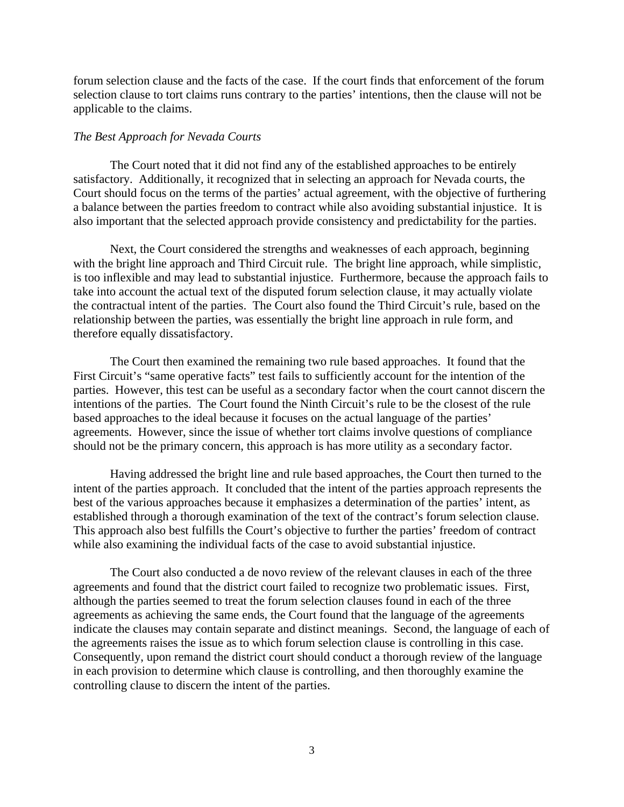forum selection clause and the facts of the case. If the court finds that enforcement of the forum selection clause to tort claims runs contrary to the parties' intentions, then the clause will not be applicable to the claims.

#### *The Best Approach for Nevada Courts*

 The Court noted that it did not find any of the established approaches to be entirely satisfactory. Additionally, it recognized that in selecting an approach for Nevada courts, the Court should focus on the terms of the parties' actual agreement, with the objective of furthering a balance between the parties freedom to contract while also avoiding substantial injustice. It is also important that the selected approach provide consistency and predictability for the parties.

 Next, the Court considered the strengths and weaknesses of each approach, beginning with the bright line approach and Third Circuit rule. The bright line approach, while simplistic, is too inflexible and may lead to substantial injustice. Furthermore, because the approach fails to take into account the actual text of the disputed forum selection clause, it may actually violate the contractual intent of the parties. The Court also found the Third Circuit's rule, based on the relationship between the parties, was essentially the bright line approach in rule form, and therefore equally dissatisfactory.

The Court then examined the remaining two rule based approaches. It found that the First Circuit's "same operative facts" test fails to sufficiently account for the intention of the parties. However, this test can be useful as a secondary factor when the court cannot discern the intentions of the parties. The Court found the Ninth Circuit's rule to be the closest of the rule based approaches to the ideal because it focuses on the actual language of the parties' agreements. However, since the issue of whether tort claims involve questions of compliance should not be the primary concern, this approach is has more utility as a secondary factor.

 Having addressed the bright line and rule based approaches, the Court then turned to the intent of the parties approach. It concluded that the intent of the parties approach represents the best of the various approaches because it emphasizes a determination of the parties' intent, as established through a thorough examination of the text of the contract's forum selection clause. This approach also best fulfills the Court's objective to further the parties' freedom of contract while also examining the individual facts of the case to avoid substantial injustice.

 The Court also conducted a de novo review of the relevant clauses in each of the three agreements and found that the district court failed to recognize two problematic issues. First, although the parties seemed to treat the forum selection clauses found in each of the three agreements as achieving the same ends, the Court found that the language of the agreements indicate the clauses may contain separate and distinct meanings. Second, the language of each of the agreements raises the issue as to which forum selection clause is controlling in this case. Consequently, upon remand the district court should conduct a thorough review of the language in each provision to determine which clause is controlling, and then thoroughly examine the controlling clause to discern the intent of the parties.